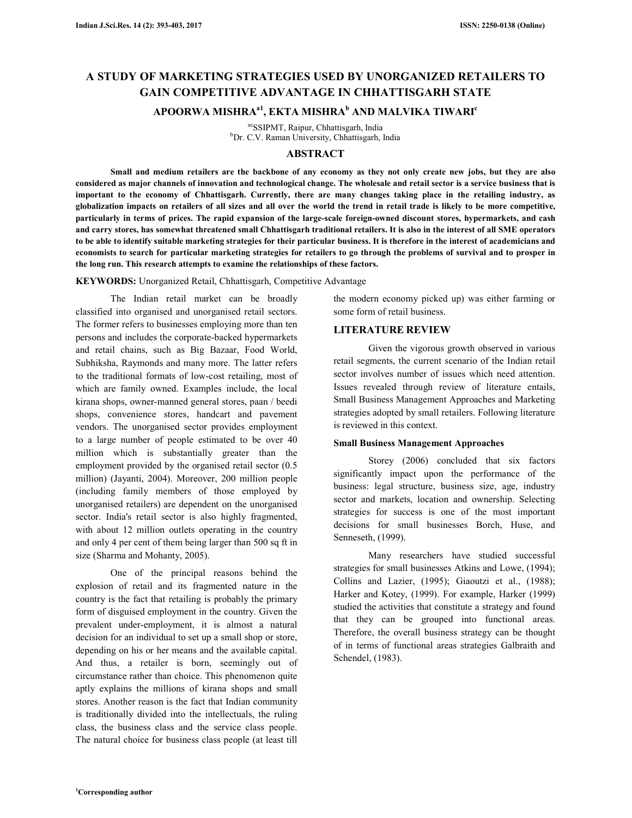# **A STUDY OF MARKETING STRATEGIES USED BY UNORGANIZED RETAILERS TO GAIN COMPETITIVE ADVANTAGE IN CHHATTISGARH STATE**

## **APOORWA MISHRAa1, EKTA MISHRA<sup>b</sup> AND MALVIKA TIWARI<sup>c</sup>**

acSSIPMT, Raipur, Chhattisgarh, India <sup>b</sup>Dr. C.V. Raman University, Chhattisgarh, India

## **ABSTRACT**

 **Small and medium retailers are the backbone of any economy as they not only create new jobs, but they are also considered as major channels of innovation and technological change. The wholesale and retail sector is a service business that is important to the economy of Chhattisgarh. Currently, there are many changes taking place in the retailing industry, as globalization impacts on retailers of all sizes and all over the world the trend in retail trade is likely to be more competitive, particularly in terms of prices. The rapid expansion of the large-scale foreign-owned discount stores, hypermarkets, and cash and carry stores, has somewhat threatened small Chhattisgarh traditional retailers. It is also in the interest of all SME operators to be able to identify suitable marketing strategies for their particular business. It is therefore in the interest of academicians and economists to search for particular marketing strategies for retailers to go through the problems of survival and to prosper in the long run. This research attempts to examine the relationships of these factors.** 

**KEYWORDS:** Unorganized Retail, Chhattisgarh, Competitive Advantage

The Indian retail market can be broadly classified into organised and unorganised retail sectors. The former refers to businesses employing more than ten persons and includes the corporate-backed hypermarkets and retail chains, such as Big Bazaar, Food World, Subhiksha, Raymonds and many more. The latter refers to the traditional formats of low-cost retailing, most of which are family owned. Examples include, the local kirana shops, owner-manned general stores, paan / beedi shops, convenience stores, handcart and pavement vendors. The unorganised sector provides employment to a large number of people estimated to be over 40 million which is substantially greater than the employment provided by the organised retail sector (0.5 million) (Jayanti, 2004). Moreover, 200 million people (including family members of those employed by unorganised retailers) are dependent on the unorganised sector. India's retail sector is also highly fragmented, with about 12 million outlets operating in the country and only 4 per cent of them being larger than 500 sq ft in size (Sharma and Mohanty, 2005).

One of the principal reasons behind the explosion of retail and its fragmented nature in the country is the fact that retailing is probably the primary form of disguised employment in the country. Given the prevalent under-employment, it is almost a natural decision for an individual to set up a small shop or store, depending on his or her means and the available capital. And thus, a retailer is born, seemingly out of circumstance rather than choice. This phenomenon quite aptly explains the millions of kirana shops and small stores. Another reason is the fact that Indian community is traditionally divided into the intellectuals, the ruling class, the business class and the service class people. The natural choice for business class people (at least till

the modern economy picked up) was either farming or some form of retail business.

## **LITERATURE REVIEW**

Given the vigorous growth observed in various retail segments, the current scenario of the Indian retail sector involves number of issues which need attention. Issues revealed through review of literature entails, Small Business Management Approaches and Marketing strategies adopted by small retailers. Following literature is reviewed in this context.

## **Small Business Management Approaches**

Storey (2006) concluded that six factors significantly impact upon the performance of the business: legal structure, business size, age, industry sector and markets, location and ownership. Selecting strategies for success is one of the most important decisions for small businesses Borch, Huse, and Senneseth, (1999).

Many researchers have studied successful strategies for small businesses Atkins and Lowe, (1994); Collins and Lazier, (1995); Giaoutzi et al., (1988); Harker and Kotey, (1999). For example, Harker (1999) studied the activities that constitute a strategy and found that they can be grouped into functional areas. Therefore, the overall business strategy can be thought of in terms of functional areas strategies Galbraith and Schendel, (1983).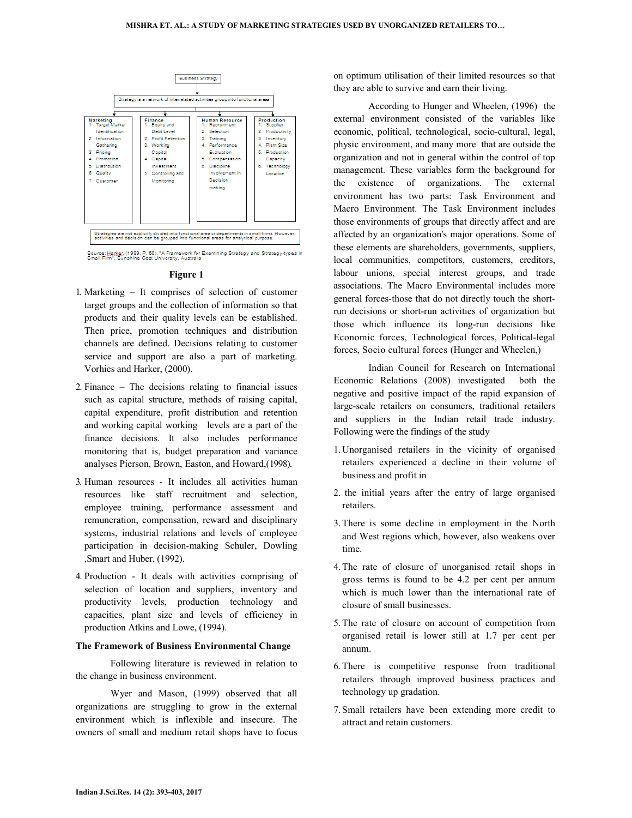

#### **Figure 1**

- 1. Marketing It comprises of selection of customer target groups and the collection of information so that products and their quality levels can be established. Then price, promotion techniques and distribution channels are defined. Decisions relating to customer service and support are also a part of marketing. Vorhies and Harker, (2000).
- 2. Finance The decisions relating to financial issues such as capital structure, methods of raising capital, capital expenditure, profit distribution and retention and working capital working levels are a part of the finance decisions. It also includes performance monitoring that is, budget preparation and variance analyses Pierson, Brown, Easton, and Howard,(1998).
- 3. Human resources It includes all activities human resources like staff recruitment and selection, employee training, performance assessment and remuneration, compensation, reward and disciplinary systems, industrial relations and levels of employee participation in decision-making Schuler, Dowling ,Smart and Huber, (1992).
- 4. Production It deals with activities comprising of selection of location and suppliers, inventory and productivity levels, production technology and capacities, plant size and levels of efficiency in production Atkins and Lowe, (1994).

## **The Framework of Business Environmental Change**

 Following literature is reviewed in relation to the change in business environment.

 Wyer and Mason, (1999) observed that all organizations are struggling to grow in the external environment which is inflexible and insecure. The owners of small and medium retail shops have to focus on optimum utilisation of their limited resources so that they are able to survive and earn their living.

 According to Hunger and Wheelen, (1996) the external environment consisted of the variables like economic, political, technological, socio-cultural, legal, physic environment, and many more that are outside the organization and not in general within the control of top management. These variables form the background for the existence of organizations. The external environment has two parts: Task Environment and Macro Environment. The Task Environment includes those environments of groups that directly affect and are affected by an organization's major operations. Some of these elements are shareholders, governments, suppliers, local communities, competitors, customers, creditors, labour unions, special interest groups, and trade associations. The Macro Environmental includes more general forces-those that do not directly touch the shortrun decisions or short-run activities of organization but those which influence its long-run decisions like Economic forces, Technological forces, Political-legal forces, Socio cultural forces (Hunger and Wheelen,)

 Indian Council for Research on International Economic Relations (2008) investigated both the negative and positive impact of the rapid expansion of large-scale retailers on consumers, traditional retailers and suppliers in the Indian retail trade industry. Following were the findings of the study

- 1. Unorganised retailers in the vicinity of organised retailers experienced a decline in their volume of business and profit in
- 2. the initial years after the entry of large organised retailers.
- 3. There is some decline in employment in the North and West regions which, however, also weakens over time.
- 4. The rate of closure of unorganised retail shops in gross terms is found to be 4.2 per cent per annum which is much lower than the international rate of closure of small businesses.
- 5. The rate of closure on account of competition from organised retail is lower still at 1.7 per cent per annum.
- 6. There is competitive response from traditional retailers through improved business practices and technology up gradation.
- 7. Small retailers have been extending more credit to attract and retain customers.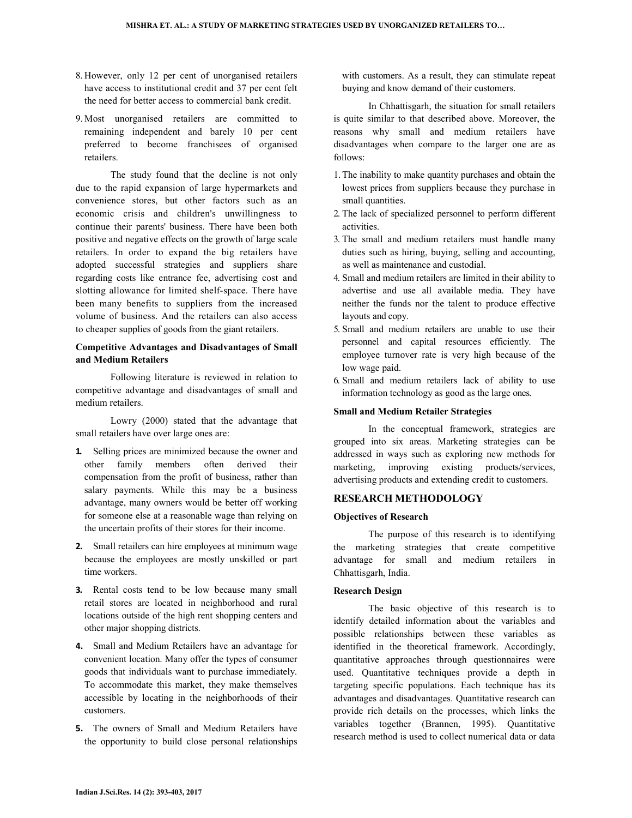- 8. However, only 12 per cent of unorganised retailers have access to institutional credit and 37 per cent felt the need for better access to commercial bank credit.
- 9. Most unorganised retailers are committed to remaining independent and barely 10 per cent preferred to become franchisees of organised retailers.

 The study found that the decline is not only due to the rapid expansion of large hypermarkets and convenience stores, but other factors such as an economic crisis and children's unwillingness to continue their parents' business. There have been both positive and negative effects on the growth of large scale retailers. In order to expand the big retailers have adopted successful strategies and suppliers share regarding costs like entrance fee, advertising cost and slotting allowance for limited shelf-space. There have been many benefits to suppliers from the increased volume of business. And the retailers can also access to cheaper supplies of goods from the giant retailers.

## **Competitive Advantages and Disadvantages of Small and Medium Retailers**

 Following literature is reviewed in relation to competitive advantage and disadvantages of small and medium retailers.

 Lowry (2000) stated that the advantage that small retailers have over large ones are:

- **1.** Selling prices are minimized because the owner and other family members often derived their compensation from the profit of business, rather than salary payments. While this may be a business advantage, many owners would be better off working for someone else at a reasonable wage than relying on the uncertain profits of their stores for their income.
- **2.** Small retailers can hire employees at minimum wage because the employees are mostly unskilled or part time workers.
- **3.** Rental costs tend to be low because many small retail stores are located in neighborhood and rural locations outside of the high rent shopping centers and other major shopping districts.
- **4.** Small and Medium Retailers have an advantage for convenient location. Many offer the types of consumer goods that individuals want to purchase immediately. To accommodate this market, they make themselves accessible by locating in the neighborhoods of their customers.
- **5.** The owners of Small and Medium Retailers have the opportunity to build close personal relationships

with customers. As a result, they can stimulate repeat buying and know demand of their customers.

 In Chhattisgarh, the situation for small retailers is quite similar to that described above. Moreover, the reasons why small and medium retailers have disadvantages when compare to the larger one are as follows:

- 1. The inability to make quantity purchases and obtain the lowest prices from suppliers because they purchase in small quantities.
- 2. The lack of specialized personnel to perform different activities.
- 3. The small and medium retailers must handle many duties such as hiring, buying, selling and accounting, as well as maintenance and custodial.
- 4. Small and medium retailers are limited in their ability to advertise and use all available media. They have neither the funds nor the talent to produce effective layouts and copy.
- 5. Small and medium retailers are unable to use their personnel and capital resources efficiently. The employee turnover rate is very high because of the low wage paid.
- 6. Small and medium retailers lack of ability to use information technology as good as the large ones.

## **Small and Medium Retailer Strategies**

 In the conceptual framework, strategies are grouped into six areas. Marketing strategies can be addressed in ways such as exploring new methods for marketing, improving existing products/services, advertising products and extending credit to customers.

### **RESEARCH METHODOLOGY**

### **Objectives of Research**

 The purpose of this research is to identifying the marketing strategies that create competitive advantage for small and medium retailers in Chhattisgarh, India.

## **Research Design**

 The basic objective of this research is to identify detailed information about the variables and possible relationships between these variables as identified in the theoretical framework. Accordingly, quantitative approaches through questionnaires were used. Quantitative techniques provide a depth in targeting specific populations. Each technique has its advantages and disadvantages. Quantitative research can provide rich details on the processes, which links the variables together (Brannen, 1995). Quantitative research method is used to collect numerical data or data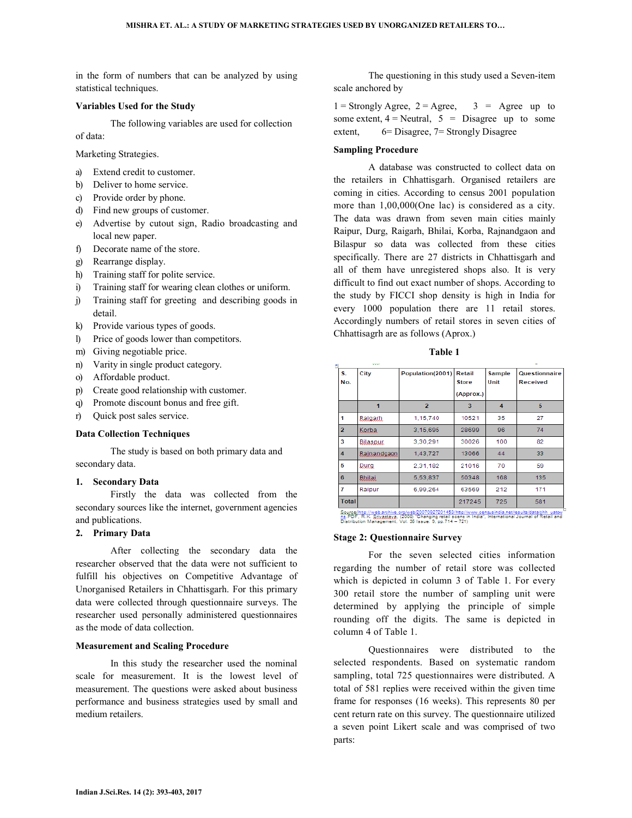in the form of numbers that can be analyzed by using statistical techniques.

## **Variables Used for the Study**

The following variables are used for collection

of data:

Marketing Strategies.

- a) Extend credit to customer.
- b) Deliver to home service.
- c) Provide order by phone.
- d) Find new groups of customer.
- e) Advertise by cutout sign, Radio broadcasting and local new paper.
- f) Decorate name of the store.
- g) Rearrange display.
- h) Training staff for polite service.
- i) Training staff for wearing clean clothes or uniform.
- j) Training staff for greeting and describing goods in detail.
- k) Provide various types of goods.
- l) Price of goods lower than competitors.
- m) Giving negotiable price.
- n) Varity in single product category.
- o) Affordable product.
- p) Create good relationship with customer.
- q) Promote discount bonus and free gift.
- r) Quick post sales service.

## **Data Collection Techniques**

 The study is based on both primary data and secondary data.

## **1. Secondary Data**

 Firstly the data was collected from the secondary sources like the internet, government agencies and publications.

## **2. Primary Data**

 After collecting the secondary data the researcher observed that the data were not sufficient to fulfill his objectives on Competitive Advantage of Unorganised Retailers in Chhattisgarh. For this primary data were collected through questionnaire surveys. The researcher used personally administered questionnaires as the mode of data collection.

## **Measurement and Scaling Procedure**

 In this study the researcher used the nominal scale for measurement. It is the lowest level of measurement. The questions were asked about business performance and business strategies used by small and medium retailers.

 The questioning in this study used a Seven-item scale anchored by

 $1 =$  Strongly Agree,  $2 =$  Agree,  $3 =$  Agree up to some extent,  $4 =$  Neutral,  $5 =$  Disagree up to some extent, 6= Disagree, 7= Strongly Disagree

#### **Sampling Procedure**

 A database was constructed to collect data on the retailers in Chhattisgarh. Organised retailers are coming in cities. According to census 2001 population more than 1,00,000(One lac) is considered as a city. The data was drawn from seven main cities mainly Raipur, Durg, Raigarh, Bhilai, Korba, Rajnandgaon and Bilaspur so data was collected from these cities specifically. There are 27 districts in Chhattisgarh and all of them have unregistered shops also. It is very difficult to find out exact number of shops. According to the study by FICCI shop density is high in India for every 1000 population there are 11 retail stores. Accordingly numbers of retail stores in seven cities of Chhattisagrh are as follows (Aprox.)

**Table 1** 

| S.<br>No.      | City            | Population(2001) | Retail<br><b>Store</b> | Sample<br>Unit | Questionnaire<br><b>Received</b> |
|----------------|-----------------|------------------|------------------------|----------------|----------------------------------|
|                |                 |                  | (Approx.)              |                |                                  |
|                | 1               | $\overline{2}$   | 3                      | 4              | 5                                |
| 1              | Raigarh.        | 1,15,740         | 10521                  | 35             | 27                               |
| $\overline{2}$ | Korba           | 3.15.695         | 28699                  | 96             | 74                               |
| 3              | <b>Bilaspur</b> | 3,30,291         | 30026                  | 100            | 82                               |
| 4              | Rainandgaon     | 1,43,727         | 13066                  | 44             | 33                               |
| 5              | Durg.           | 2,31,182         | 21016                  | 70             | 59                               |
| 6              | <b>Bhilai</b>   | 5,53,837         | 50348                  | 168            | 135                              |
| 7              | Raipur          | 6.99.264         | 63569                  | 212            | 171                              |
| <b>Total</b>   |                 |                  | 217245                 | 725            | 581                              |
|                |                 |                  |                        |                |                                  |

Source<u>(http://web.archive.org/web/20070927201453/http://www.censusindia.net/results/data/chh\_uatov/</u><br>hs. PDF, R.K. Sourcess, M. (2008) "Changing retail scene in India", International Journal of Retail and<br>Distribution Man

#### **Stage 2: Questionnaire Survey**

 For the seven selected cities information regarding the number of retail store was collected which is depicted in column 3 of Table 1. For every 300 retail store the number of sampling unit were determined by applying the principle of simple rounding off the digits. The same is depicted in column 4 of Table 1.

 Questionnaires were distributed to the selected respondents. Based on systematic random sampling, total 725 questionnaires were distributed. A total of 581 replies were received within the given time frame for responses (16 weeks). This represents 80 per cent return rate on this survey. The questionnaire utilized a seven point Likert scale and was comprised of two parts: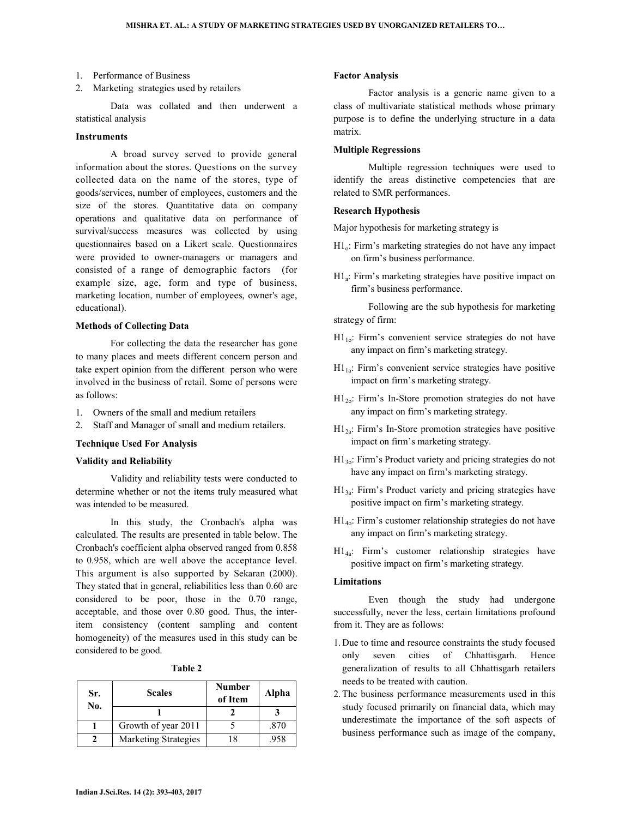- 1. Performance of Business
- 2. Marketing strategies used by retailers

 Data was collated and then underwent a statistical analysis

## **Instruments**

 A broad survey served to provide general information about the stores. Questions on the survey collected data on the name of the stores, type of goods/services, number of employees, customers and the size of the stores. Quantitative data on company operations and qualitative data on performance of survival/success measures was collected by using questionnaires based on a Likert scale. Questionnaires were provided to owner-managers or managers and consisted of a range of demographic factors (for example size, age, form and type of business, marketing location, number of employees, owner's age, educational).

## **Methods of Collecting Data**

 For collecting the data the researcher has gone to many places and meets different concern person and take expert opinion from the different person who were involved in the business of retail. Some of persons were as follows:

- 1. Owners of the small and medium retailers
- 2. Staff and Manager of small and medium retailers.

### **Technique Used For Analysis**

## **Validity and Reliability**

 Validity and reliability tests were conducted to determine whether or not the items truly measured what was intended to be measured.

 In this study, the Cronbach's alpha was calculated. The results are presented in table below. The Cronbach's coefficient alpha observed ranged from 0.858 to 0.958, which are well above the acceptance level. This argument is also supported by Sekaran (2000). They stated that in general, reliabilities less than 0.60 are considered to be poor, those in the 0.70 range, acceptable, and those over 0.80 good. Thus, the interitem consistency (content sampling and content homogeneity) of the measures used in this study can be considered to be good.

| anle |  |
|------|--|
|------|--|

| Sr.<br>No. | <b>Scales</b>        | <b>Number</b><br>of Item | Alpha |
|------------|----------------------|--------------------------|-------|
|            |                      |                          |       |
|            | Growth of year 2011  |                          | .870  |
|            | Marketing Strategies | 18                       | .958  |

#### **Factor Analysis**

 Factor analysis is a generic name given to a class of multivariate statistical methods whose primary purpose is to define the underlying structure in a data matrix.

## **Multiple Regressions**

 Multiple regression techniques were used to identify the areas distinctive competencies that are related to SMR performances.

## **Research Hypothesis**

Major hypothesis for marketing strategy is

- H1o: Firm's marketing strategies do not have any impact on firm's business performance.
- H1<sup>a</sup> : Firm's marketing strategies have positive impact on firm's business performance.

 Following are the sub hypothesis for marketing strategy of firm:

- $H1_{10}$ : Firm's convenient service strategies do not have any impact on firm's marketing strategy.
- $H1_{1a}$ : Firm's convenient service strategies have positive impact on firm's marketing strategy.
- H12o: Firm's In-Store promotion strategies do not have any impact on firm's marketing strategy.
- $H1_{2a}$ : Firm's In-Store promotion strategies have positive impact on firm's marketing strategy.
- H13o: Firm's Product variety and pricing strategies do not have any impact on firm's marketing strategy.
- H13a: Firm's Product variety and pricing strategies have positive impact on firm's marketing strategy.
- H14o: Firm's customer relationship strategies do not have any impact on firm's marketing strategy.
- H14a: Firm's customer relationship strategies have positive impact on firm's marketing strategy.

## **Limitations**

 Even though the study had undergone successfully, never the less, certain limitations profound from it. They are as follows:

- 1. Due to time and resource constraints the study focused only seven cities of Chhattisgarh. Hence generalization of results to all Chhattisgarh retailers needs to be treated with caution.
- 2. The business performance measurements used in this study focused primarily on financial data, which may underestimate the importance of the soft aspects of business performance such as image of the company,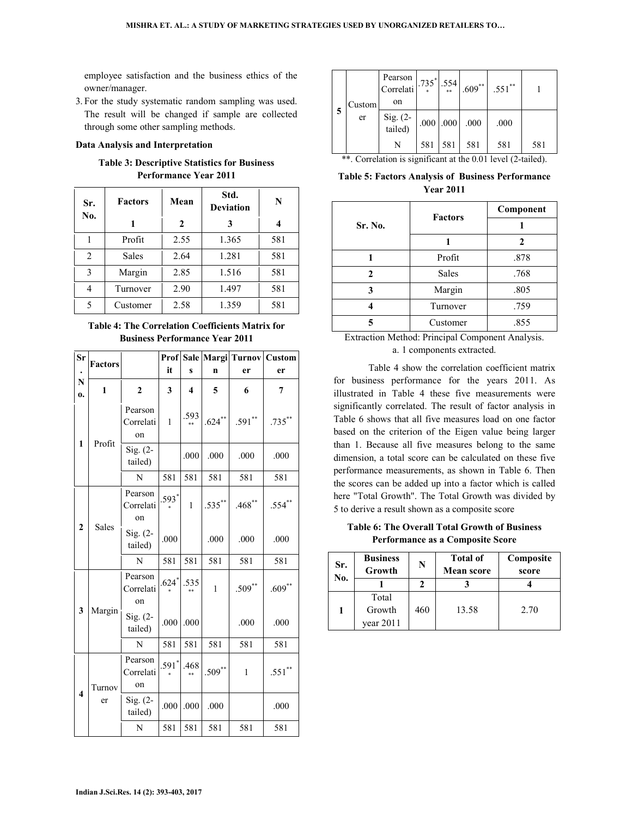employee satisfaction and the business ethics of the owner/manager.

3. For the study systematic random sampling was used. The result will be changed if sample are collected through some other sampling methods.

## **Data Analysis and Interpretation**

## **Table 3: Descriptive Statistics for Business Performance Year 2011**

| Sr.<br>No. | <b>Factors</b> | Mean | Std.<br><b>Deviation</b> | N   |
|------------|----------------|------|--------------------------|-----|
|            |                | 2    | 3                        | 4   |
|            | Profit         | 2.55 | 1.365                    | 581 |
| 2          | Sales          | 2.64 | 1.281                    | 581 |
| 3          | Margin         | 2.85 | 1.516                    | 581 |
| 4          | Turnover       | 2.90 | 1.497                    | 581 |
| 5          | Customer       | 2.58 | 1.359                    | 581 |

## **Table 4: The Correlation Coefficients Matrix for Business Performance Year 2011**

| Sr                      | <b>Factors</b>                   |                            |                     |              |              | Prof Sale Margi Turnov Custom |           |
|-------------------------|----------------------------------|----------------------------|---------------------|--------------|--------------|-------------------------------|-----------|
| N                       |                                  |                            | it                  | $\mathbf{s}$ | n            | er                            | er        |
| $\mathbf{0}$            | $\mathbf{1}$                     | $\overline{2}$             | 3                   | 4            | 5            | 6                             | 7         |
|                         | Profit                           | Pearson<br>Correlati<br>on | $\mathbf{1}$        | .593<br>**   | $.624***$    | $.591**$                      | $.735***$ |
| 1                       |                                  | Sig. (2-<br>tailed)        |                     | .000         | .000         | .000                          | .000      |
|                         |                                  | N                          | 581                 | 581          | 581          | 581                           | 581       |
|                         | $\boldsymbol{2}$<br><b>Sales</b> | Pearson<br>Correlati<br>on | .593*               | $\mathbf{1}$ | $.535***$    | $.468$ **                     | $.554$ ** |
|                         |                                  | Sig. (2-<br>tailed)        | .000                |              | .000         | .000                          | .000      |
|                         |                                  | N                          | 581                 | 581          | 581          | 581                           | 581       |
|                         |                                  | Pearson<br>Correlati<br>on | $.624$ <sup>*</sup> | .535         | $\mathbf{1}$ | $.509**$                      | $.609***$ |
| 3                       | Margin                           | Sig. $(2-$<br>tailed)      | .000                | .000         |              | .000                          | .000      |
|                         |                                  | N                          | 581                 | 581          | 581          | 581                           | 581       |
|                         | Turnov                           | Pearson<br>Correlati<br>on | $591*$              | .468         | $.509***$    | $\mathbf{1}$                  | $.551$ ** |
| $\overline{\mathbf{4}}$ | er                               | Sig. (2-<br>tailed)        | .000                | .000         | .000         |                               | .000      |
|                         |                                  | N                          | 581                 | 581          | 581          | 581                           | 581       |

|   | Custom<br>er | Pearson  <br>Correlati<br>on | $1.735^{*}$ . 554 |               | $.609**$ | $.551***$ |     |
|---|--------------|------------------------------|-------------------|---------------|----------|-----------|-----|
| 5 |              | Sig. (2-<br>tailed)          |                   | $.000$ $.000$ | .000     | .000      |     |
|   |              |                              | 581               | 581           | 581      | 581       | 581 |

\*\*. Correlation is significant at the 0.01 level (2-tailed).

**Table 5: Factors Analysis of Business Performance Year 2011** 

|         | <b>Factors</b> | Component |
|---------|----------------|-----------|
| Sr. No. |                |           |
|         |                |           |
|         | Profit         | .878      |
|         | Sales          | .768      |
| 3       | Margin         | .805      |
|         | Turnover       | .759      |
|         | Customer       | .855      |

Extraction Method: Principal Component Analysis. a. 1 components extracted.

 Table 4 show the correlation coefficient matrix for business performance for the years 2011. As illustrated in Table 4 these five measurements were significantly correlated. The result of factor analysis in Table 6 shows that all five measures load on one factor based on the criterion of the Eigen value being larger than 1. Because all five measures belong to the same dimension, a total score can be calculated on these five performance measurements, as shown in Table 6. Then the scores can be added up into a factor which is called here "Total Growth". The Total Growth was divided by 5 to derive a result shown as a composite score

**Table 6: The Overall Total Growth of Business Performance as a Composite Score** 

| Sr.<br>No. | <b>Business</b><br>Growth | N   | <b>Total of</b><br><b>Mean score</b> | Composite<br>score |
|------------|---------------------------|-----|--------------------------------------|--------------------|
|            |                           |     |                                      |                    |
|            | Total<br>Growth           | 460 | 13.58                                | 2.70               |
|            | vear $2011$               |     |                                      |                    |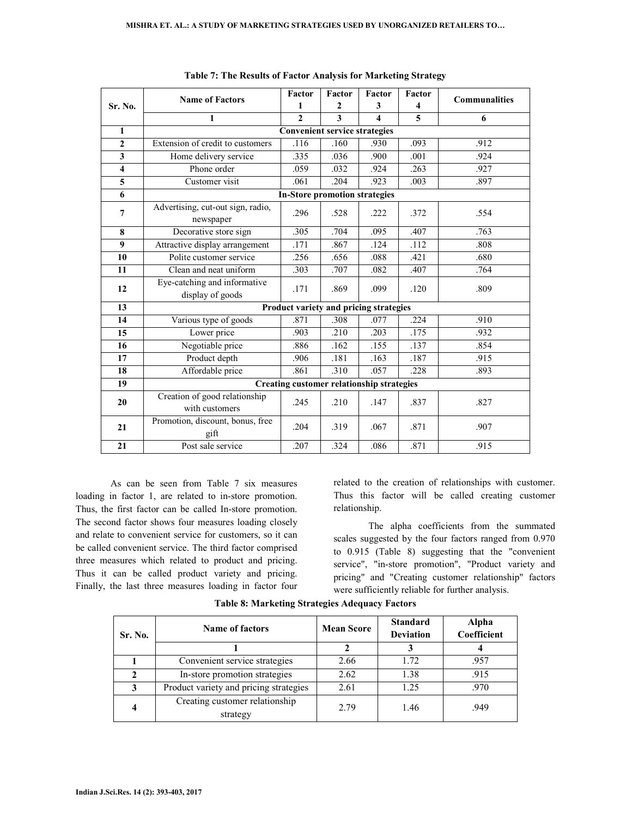|                         | <b>Name of Factors</b>                           | Factor                                           | Factor                  | Factor                  | Factor | <b>Communalities</b> |
|-------------------------|--------------------------------------------------|--------------------------------------------------|-------------------------|-------------------------|--------|----------------------|
| Sr. No.                 |                                                  | 1                                                | $\mathbf{2}$            | 3                       | 4      |                      |
|                         | $\mathbf{1}$                                     |                                                  | $\overline{\mathbf{3}}$ | $\overline{\mathbf{4}}$ | 5      | 6                    |
| $\mathbf{1}$            |                                                  | <b>Convenient service strategies</b>             |                         |                         |        |                      |
| $\mathbf{2}$            | Extension of credit to customers                 | .116                                             | .160                    | .930                    | .093   | .912                 |
| $\mathbf{3}$            | Home delivery service                            | .335                                             | .036                    | .900                    | .001   | .924                 |
| $\overline{\mathbf{4}}$ | Phone order                                      | .059                                             | .032                    | .924                    | .263   | .927                 |
| 5                       | Customer visit                                   | .061                                             | .204                    | .923                    | .003   | .897                 |
| 6                       |                                                  | <b>In-Store promotion strategies</b>             |                         |                         |        |                      |
| 7                       | Advertising, cut-out sign, radio,<br>newspaper   | .296                                             | .528                    | .222                    | .372   | .554                 |
| 8                       | Decorative store sign                            | .305                                             | .704                    | .095                    | .407   | .763                 |
| $\boldsymbol{9}$        | Attractive display arrangement                   | .171                                             | .867                    | .124                    | .112   | .808                 |
| 10                      | Polite customer service                          | .256                                             | .656                    | .088                    | .421   | .680                 |
| 11                      | Clean and neat uniform                           | .303                                             | .707                    | .082                    | .407   | .764                 |
| 12                      | Eye-catching and informative<br>display of goods | .171                                             | .869                    | .099                    | .120   | .809                 |
| 13                      |                                                  | Product variety and pricing strategies           |                         |                         |        |                      |
| 14                      | Various type of goods                            | .871                                             | .308                    | .077                    | .224   | .910                 |
| 15                      | Lower price                                      | .903                                             | .210                    | .203                    | .175   | .932                 |
| 16                      | Negotiable price                                 | .886                                             | .162                    | .155                    | .137   | .854                 |
| 17                      | Product depth                                    | .906                                             | .181                    | .163                    | .187   | .915                 |
| 18                      | Affordable price                                 | .861                                             | .310                    | .057                    | .228   | .893                 |
| 19                      |                                                  | <b>Creating customer relationship strategies</b> |                         |                         |        |                      |
| 20                      | Creation of good relationship<br>with customers  | .245                                             | .210                    | .147                    | .837   | .827                 |
| 21                      | Promotion, discount, bonus, free<br>gift         | .204                                             | .319                    | .067                    | .871   | .907                 |
| 21                      | Post sale service                                | .207                                             | .324                    | .086                    | .871   | .915                 |

|  |  | Table 7: The Results of Factor Analysis for Marketing Strategy |  |
|--|--|----------------------------------------------------------------|--|
|  |  |                                                                |  |

 As can be seen from Table 7 six measures loading in factor 1, are related to in-store promotion. Thus, the first factor can be called In-store promotion. The second factor shows four measures loading closely and relate to convenient service for customers, so it can be called convenient service. The third factor comprised three measures which related to product and pricing. Thus it can be called product variety and pricing. Finally, the last three measures loading in factor four

related to the creation of relationships with customer. Thus this factor will be called creating customer relationship.

The alpha coefficients from the summated scales suggested by the four factors ranged from 0.970 to 0.915 (Table 8) suggesting that the "convenient service", "in-store promotion", "Product variety and pricing" and "Creating customer relationship" factors were sufficiently reliable for further analysis.

| Sr. No. | <b>Name of factors</b>                 | <b>Mean Score</b> | <b>Standard</b><br><b>Deviation</b> | Alpha<br>Coefficient |
|---------|----------------------------------------|-------------------|-------------------------------------|----------------------|
|         |                                        |                   |                                     |                      |
|         | Convenient service strategies          | 2.66              | 1.72                                | .957                 |
|         | In-store promotion strategies          | 2.62              | 1.38                                | .915                 |
|         | Product variety and pricing strategies | 2.61              | 1 25                                | .970                 |
|         | Creating customer relationship         | 2.79              | 1.46                                | .949                 |
|         | strategy                               |                   |                                     |                      |

## **Table 8: Marketing Strategies Adequacy Factors**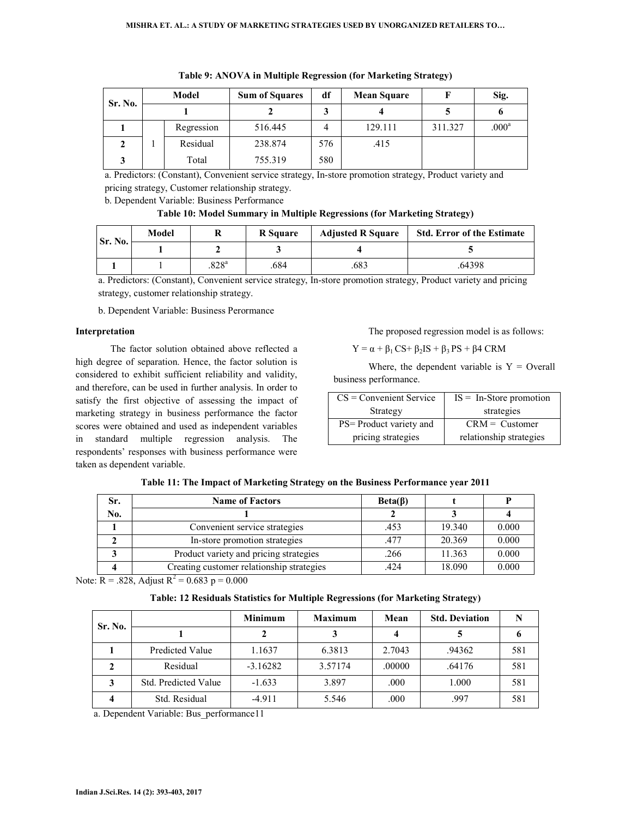| Sr. No. | <b>Model</b> |            | <b>Sum of Squares</b> | df  | <b>Mean Square</b> |         | Sig.              |
|---------|--------------|------------|-----------------------|-----|--------------------|---------|-------------------|
|         |              |            |                       |     |                    |         |                   |
|         |              | Regression | 516.445               |     | 129.111            | 311.327 | .000 <sup>a</sup> |
|         |              | Residual   | 238.874               | 576 | .415               |         |                   |
|         |              | Total      | 755.319               | 580 |                    |         |                   |

**Table 9: ANOVA in Multiple Regression (for Marketing Strategy)** 

a. Predictors: (Constant), Convenient service strategy, In-store promotion strategy, Product variety and pricing strategy, Customer relationship strategy.

b. Dependent Variable: Business Performance

## **Table 10: Model Summary in Multiple Regressions (for Marketing Strategy)**

| Sr. No. | Model |                     | <b>R</b> Square | <b>Adjusted R Square</b> | <b>Std. Error of the Estimate</b> |
|---------|-------|---------------------|-----------------|--------------------------|-----------------------------------|
|         |       |                     |                 |                          |                                   |
|         |       | $.828$ <sup>a</sup> | .684            | 683                      | .64398                            |

a. Predictors: (Constant), Convenient service strategy, In-store promotion strategy, Product variety and pricing strategy, customer relationship strategy.

b. Dependent Variable: Business Perormance

## **Interpretation**

The factor solution obtained above reflected a high degree of separation. Hence, the factor solution is considered to exhibit sufficient reliability and validity, and therefore, can be used in further analysis. In order to satisfy the first objective of assessing the impact of marketing strategy in business performance the factor scores were obtained and used as independent variables in standard multiple regression analysis. The respondents' responses with business performance were taken as dependent variable.

## The proposed regression model is as follows:

 $Y = \alpha + \beta_1 CS + \beta_2 IS + \beta_3 PS + \beta 4 CRM$ 

Where, the dependent variable is  $Y =$  Overall business performance.

| $CS = Convenient Service$ | $IS = In-Store$ promotion |
|---------------------------|---------------------------|
| Strategy                  | strategies                |
| PS= Product variety and   | $CRM = Customer$          |
| pricing strategies        | relationship strategies   |

| Table 11: The Impact of Marketing Strategy on the Business Performance year 2011 |  |  |  |  |
|----------------------------------------------------------------------------------|--|--|--|--|
|                                                                                  |  |  |  |  |

| Sr. | <b>Name of Factors</b>                    | $Beta(\beta)$ |        |       |
|-----|-------------------------------------------|---------------|--------|-------|
| No. |                                           |               |        |       |
|     | Convenient service strategies             | .453          | 19.340 | 0.000 |
|     | In-store promotion strategies             | .477          | 20.369 | 0.000 |
|     | Product variety and pricing strategies    | .266          | 11.363 | 0.000 |
|     | Creating customer relationship strategies | .424          | 18.090 | 0.000 |

Note:  $R = .828$ , Adjust  $R^2 = 0.683$  p = 0.000

**Table: 12 Residuals Statistics for Multiple Regressions (for Marketing Strategy)** 

| Sr. No. |                        | <b>Minimum</b> | <b>Maximum</b> | Mean   | <b>Std. Deviation</b> |     |
|---------|------------------------|----------------|----------------|--------|-----------------------|-----|
|         |                        |                |                |        |                       |     |
|         | <b>Predicted Value</b> | 1.1637         | 6.3813         | 2.7043 | .94362                | 581 |
|         | Residual               | $-3.16282$     | 3.57174        | .00000 | .64176                | 581 |
| 3       | Std. Predicted Value   | $-1.633$       | 3.897          | .000   | 1.000                 | 581 |
| 4       | Std. Residual          | $-4.911$       | 5.546          | .000   | .997                  | 581 |

a. Dependent Variable: Bus\_performance11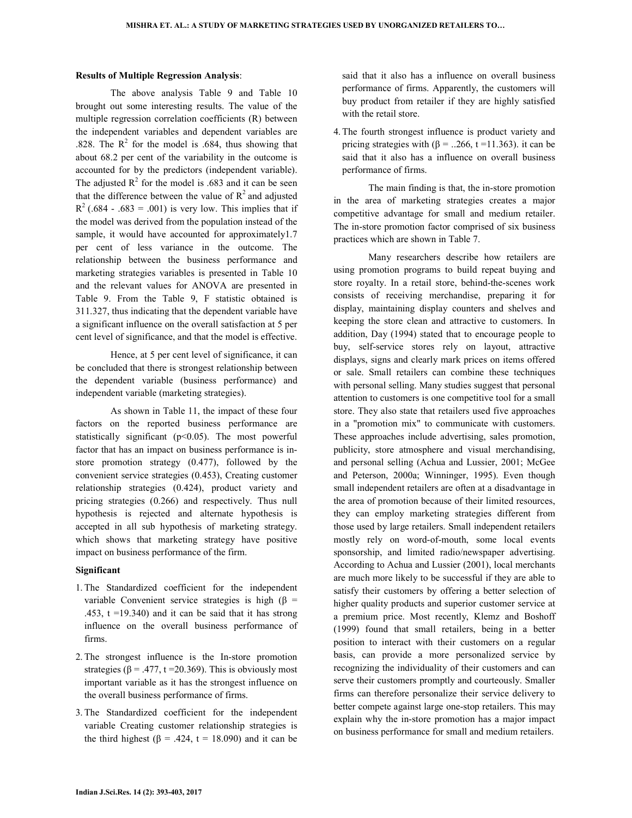### **Results of Multiple Regression Analysis**:

The above analysis Table 9 and Table 10 brought out some interesting results. The value of the multiple regression correlation coefficients (R) between the independent variables and dependent variables are .828. The  $R^2$  for the model is .684, thus showing that about 68.2 per cent of the variability in the outcome is accounted for by the predictors (independent variable). The adjusted  $R^2$  for the model is .683 and it can be seen that the difference between the value of  $R^2$  and adjusted  $R^{2}$  (.684 - .683 = .001) is very low. This implies that if the model was derived from the population instead of the sample, it would have accounted for approximately1.7 per cent of less variance in the outcome. The relationship between the business performance and marketing strategies variables is presented in Table 10 and the relevant values for ANOVA are presented in Table 9. From the Table 9, F statistic obtained is 311.327, thus indicating that the dependent variable have a significant influence on the overall satisfaction at 5 per cent level of significance, and that the model is effective.

Hence, at 5 per cent level of significance, it can be concluded that there is strongest relationship between the dependent variable (business performance) and independent variable (marketing strategies).

As shown in Table 11, the impact of these four factors on the reported business performance are statistically significant  $(p<0.05)$ . The most powerful factor that has an impact on business performance is instore promotion strategy (0.477), followed by the convenient service strategies (0.453), Creating customer relationship strategies (0.424), product variety and pricing strategies (0.266) and respectively. Thus null hypothesis is rejected and alternate hypothesis is accepted in all sub hypothesis of marketing strategy. which shows that marketing strategy have positive impact on business performance of the firm.

## **Significant**

- 1. The Standardized coefficient for the independent variable Convenient service strategies is high ( $\beta$  = .453,  $t = 19.340$  and it can be said that it has strong influence on the overall business performance of firms.
- 2. The strongest influence is the In-store promotion strategies ( $\beta$  = .477, t = 20.369). This is obviously most important variable as it has the strongest influence on the overall business performance of firms.
- 3. The Standardized coefficient for the independent variable Creating customer relationship strategies is the third highest ( $\beta$  = .424, t = 18.090) and it can be

said that it also has a influence on overall business performance of firms. Apparently, the customers will buy product from retailer if they are highly satisfied with the retail store.

4. The fourth strongest influence is product variety and pricing strategies with  $(\beta = 0.266, t = 11.363)$ . it can be said that it also has a influence on overall business performance of firms.

The main finding is that, the in-store promotion in the area of marketing strategies creates a major competitive advantage for small and medium retailer. The in-store promotion factor comprised of six business practices which are shown in Table 7.

Many researchers describe how retailers are using promotion programs to build repeat buying and store royalty. In a retail store, behind-the-scenes work consists of receiving merchandise, preparing it for display, maintaining display counters and shelves and keeping the store clean and attractive to customers. In addition, Day (1994) stated that to encourage people to buy, self-service stores rely on layout, attractive displays, signs and clearly mark prices on items offered or sale. Small retailers can combine these techniques with personal selling. Many studies suggest that personal attention to customers is one competitive tool for a small store. They also state that retailers used five approaches in a "promotion mix" to communicate with customers. These approaches include advertising, sales promotion, publicity, store atmosphere and visual merchandising, and personal selling (Achua and Lussier, 2001; McGee and Peterson, 2000a; Winninger, 1995). Even though small independent retailers are often at a disadvantage in the area of promotion because of their limited resources, they can employ marketing strategies different from those used by large retailers. Small independent retailers mostly rely on word-of-mouth, some local events sponsorship, and limited radio/newspaper advertising. According to Achua and Lussier (2001), local merchants are much more likely to be successful if they are able to satisfy their customers by offering a better selection of higher quality products and superior customer service at a premium price. Most recently, Klemz and Boshoff (1999) found that small retailers, being in a better position to interact with their customers on a regular basis, can provide a more personalized service by recognizing the individuality of their customers and can serve their customers promptly and courteously. Smaller firms can therefore personalize their service delivery to better compete against large one-stop retailers. This may explain why the in-store promotion has a major impact on business performance for small and medium retailers.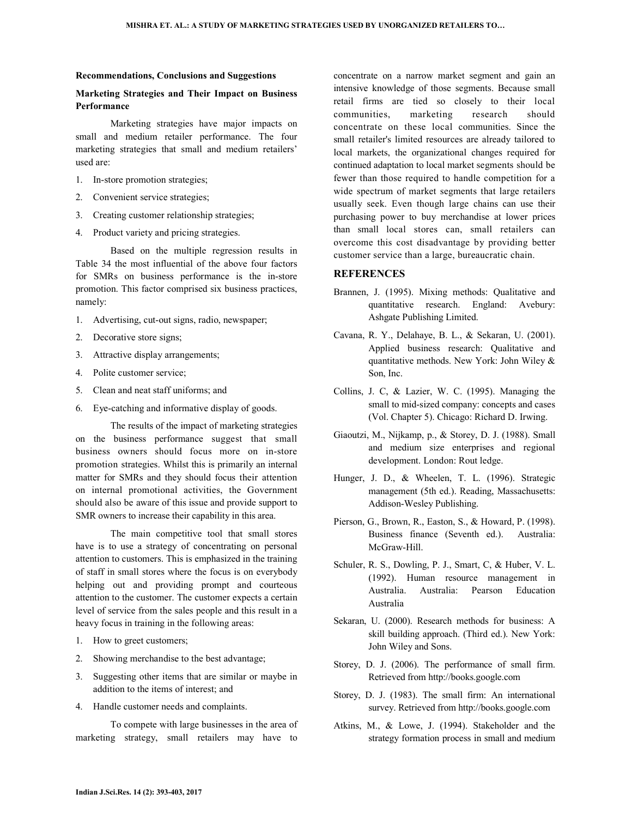#### **Recommendations, Conclusions and Suggestions**

## **Marketing Strategies and Their Impact on Business Performance**

Marketing strategies have major impacts on small and medium retailer performance. The four marketing strategies that small and medium retailers' used are:

- 1. In-store promotion strategies;
- 2. Convenient service strategies;
- 3. Creating customer relationship strategies;
- 4. Product variety and pricing strategies.

Based on the multiple regression results in Table 34 the most influential of the above four factors for SMRs on business performance is the in-store promotion. This factor comprised six business practices, namely:

- 1. Advertising, cut-out signs, radio, newspaper;
- 2. Decorative store signs;
- 3. Attractive display arrangements;
- 4. Polite customer service;
- 5. Clean and neat staff uniforms; and
- 6. Eye-catching and informative display of goods.

The results of the impact of marketing strategies on the business performance suggest that small business owners should focus more on in-store promotion strategies. Whilst this is primarily an internal matter for SMRs and they should focus their attention on internal promotional activities, the Government should also be aware of this issue and provide support to SMR owners to increase their capability in this area.

The main competitive tool that small stores have is to use a strategy of concentrating on personal attention to customers. This is emphasized in the training of staff in small stores where the focus is on everybody helping out and providing prompt and courteous attention to the customer. The customer expects a certain level of service from the sales people and this result in a heavy focus in training in the following areas:

- 1. How to greet customers;
- 2. Showing merchandise to the best advantage;
- 3. Suggesting other items that are similar or maybe in addition to the items of interest; and
- 4. Handle customer needs and complaints.

 To compete with large businesses in the area of marketing strategy, small retailers may have to

concentrate on a narrow market segment and gain an intensive knowledge of those segments. Because small retail firms are tied so closely to their local communities, marketing research should concentrate on these local communities. Since the small retailer's limited resources are already tailored to local markets, the organizational changes required for continued adaptation to local market segments should be fewer than those required to handle competition for a wide spectrum of market segments that large retailers usually seek. Even though large chains can use their purchasing power to buy merchandise at lower prices than small local stores can, small retailers can overcome this cost disadvantage by providing better customer service than a large, bureaucratic chain.

## **REFERENCES**

- Brannen, J. (1995). Mixing methods: Qualitative and quantitative research. England: Avebury: Ashgate Publishing Limited.
- Cavana, R. Y., Delahaye, B. L., & Sekaran, U. (2001). Applied business research: Qualitative and quantitative methods. New York: John Wiley & Son, Inc.
- Collins, J. C, & Lazier, W. C. (1995). Managing the small to mid-sized company: concepts and cases (Vol. Chapter 5). Chicago: Richard D. Irwing.
- Giaoutzi, M., Nijkamp, p., & Storey, D. J. (1988). Small and medium size enterprises and regional development. London: Rout ledge.
- Hunger, J. D., & Wheelen, T. L. (1996). Strategic management (5th ed.). Reading, Massachusetts: Addison-Wesley Publishing.
- Pierson, G., Brown, R., Easton, S., & Howard, P. (1998). Business finance (Seventh ed.). Australia: McGraw-Hill.
- Schuler, R. S., Dowling, P. J., Smart, C, & Huber, V. L. (1992). Human resource management in Australia. Australia: Pearson Education Australia
- Sekaran, U. (2000). Research methods for business: A skill building approach. (Third ed.). New York: John Wiley and Sons.
- Storey, D. J. (2006). The performance of small firm. Retrieved from http://books.google.com
- Storey, D. J. (1983). The small firm: An international survey. Retrieved from http://books.google.com
- Atkins, M., & Lowe, J. (1994). Stakeholder and the strategy formation process in small and medium